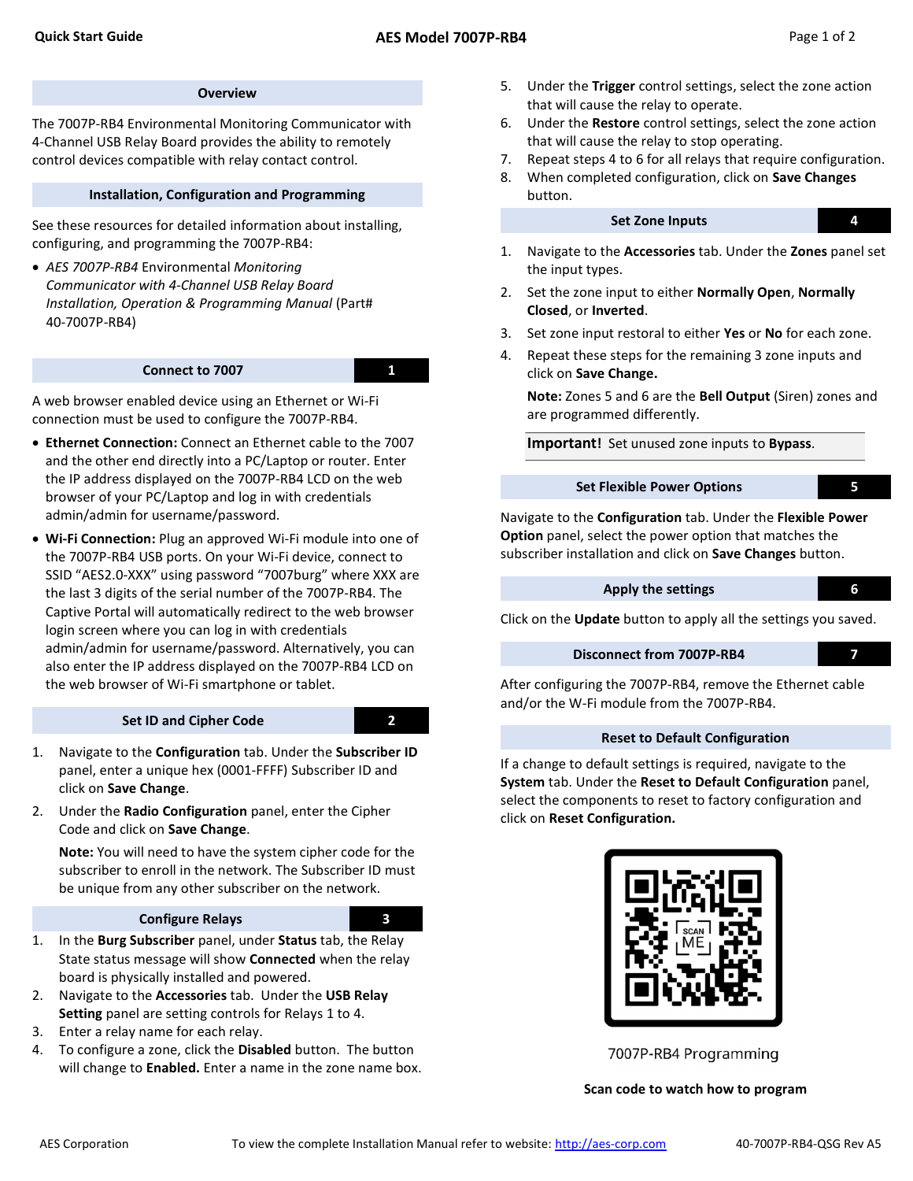#### **Overview**

The 7007P-RB4 Environmental Monitoring Communicator with 4-Channel USB Relay Board provides the ability to remotely control devices compatible with relay contact control.

#### Installation, Configuration and Programming

See these resources for detailed information about installing, configuring, and programming the 7007P-RB4:

 AES 7007P-RB4 Environmental Monitoring Communicator with 4-Channel USB Relay Board Installation, Operation & Programming Manual (Part# 40-7007P-RB4)

#### Connect to 7007 1

A web browser enabled device using an Ethernet or Wi-Fi connection must be used to configure the 7007P-RB4.

- Ethernet Connection: Connect an Ethernet cable to the 7007 and the other end directly into a PC/Laptop or router. Enter the IP address displayed on the 7007P-RB4 LCD on the web browser of your PC/Laptop and log in with credentials admin/admin for username/password.
- Wi-Fi Connection: Plug an approved Wi-Fi module into one of the 7007P-RB4 USB ports. On your Wi-Fi device, connect to SSID "AES2.0-XXX" using password "7007burg" where XXX are the last 3 digits of the serial number of the 7007P-RB4. The Captive Portal will automatically redirect to the web browser login screen where you can log in with credentials admin/admin for username/password. Alternatively, you can also enter the IP address displayed on the 7007P-RB4 LCD on the web browser of Wi-Fi smartphone or tablet.

#### Set ID and Cipher Code 2

- 1. Navigate to the Configuration tab. Under the Subscriber ID panel, enter a unique hex (0001-FFFF) Subscriber ID and click on Save Change.
- 2. Under the Radio Configuration panel, enter the Cipher Code and click on Save Change.

Note: You will need to have the system cipher code for the subscriber to enroll in the network. The Subscriber ID must be unique from any other subscriber on the network.

### Configure Relays 3



- 1. In the Burg Subscriber panel, under Status tab, the Relay State status message will show Connected when the relay board is physically installed and powered.
- 2. Navigate to the **Accessories** tab. Under the USB Relay Setting panel are setting controls for Relays 1 to 4.
- 3. Enter a relay name for each relay.
- 4. To configure a zone, click the Disabled button. The button will change to Enabled. Enter a name in the zone name box.
- 5. Under the Trigger control settings, select the zone action that will cause the relay to operate.
- 6. Under the Restore control settings, select the zone action that will cause the relay to stop operating.
- 7. Repeat steps 4 to 6 for all relays that require configuration.
- 8. When completed configuration, click on Save Changes button.

### Set Zone Inputs 4.

- 1. Navigate to the Accessories tab. Under the Zones panel set the input types.
- 2. Set the zone input to either Normally Open, Normally Closed, or Inverted.
- 3. Set zone input restoral to either Yes or No for each zone.
- 4. Repeat these steps for the remaining 3 zone inputs and click on Save Change.

Note: Zones 5 and 6 are the Bell Output (Siren) zones and are programmed differently.

Important! Set unused zone inputs to Bypass.

### Set Flexible Power Options **5**

Navigate to the Configuration tab. Under the Flexible Power Option panel, select the power option that matches the subscriber installation and click on Save Changes button.

# Apply the settings **6**

Click on the Update button to apply all the settings you saved.

## Disconnect from 7007P-RB4 7

After configuring the 7007P-RB4, remove the Ethernet cable and/or the W-Fi module from the 7007P-RB4.

### Reset to Default Configuration

If a change to default settings is required, navigate to the System tab. Under the Reset to Default Configuration panel, select the components to reset to factory configuration and click on Reset Configuration.



7007P-RB4 Programming

Scan code to watch how to program